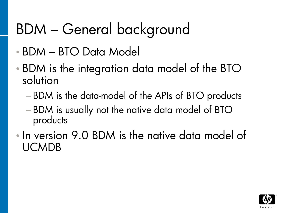# BDM – General background

- BDM BTO Data Model
- BDM is the integration data model of the BTO solution
	- −BDM is the data-model of the APIs of BTO products
	- −BDM is usually not the native data model of BTO products
- In version 9.0 BDM is the native data model of UCMDB

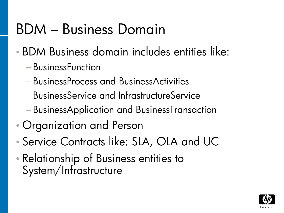### BDM – Business Domain

- BDM Business domain includes entities like:
	- −BusinessFunction
	- −BusinessProcess and BusinessActivities
	- −BusinessService and InfrastructureService
	- −BusinessApplication and BusinessTransaction
- Organization and Person
- Service Contracts like: SLA, OLA and UC
- Relationship of Business entities to System/Infrastructure

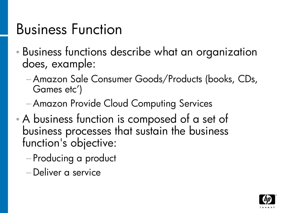### Business Function

- Business functions describe what an organization does, example:
	- −Amazon Sale Consumer Goods/Products (books, CDs, Games etc')
	- −Amazon Provide Cloud Computing Services
- •A business function is composed of a set of business processes that sustain the business function's objective:
	- −Producing a product
	- −Deliver a service

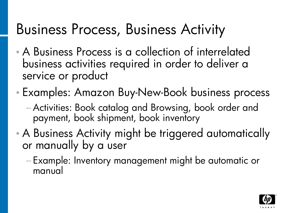### Business Process, Business Activity

- •A Business Process is a collection of interrelated business activities required in order to deliver a service or product
- Examples: Amazon Buy-New-Book business process
	- −Activities: Book catalog and Browsing, book order and payment, book shipment, book inventory
- •A Business Activity might be triggered automatically or manually by a user
	- −Example: Inventory management might be automatic or manual

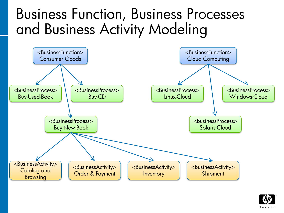#### Business Function, Business Processes and Business Activity Modeling



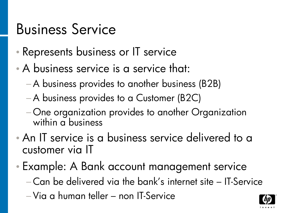### Business Service

- Represents business or IT service
- •A business service is a service that:
	- −A business provides to another business (B2B)
	- −A business provides to a Customer (B2C)
	- −One organization provides to another Organization within a business
- •An IT service is a business service delivered to a customer via IT
- Example: A Bank account management service
	- −Can be delivered via the bank's internet site IT-Service
	- −Via a human teller non IT-Service

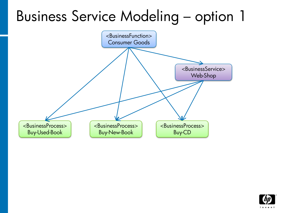# Business Service Modeling – option 1



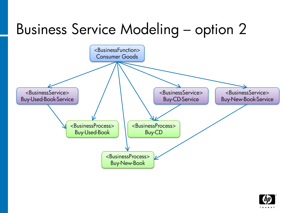

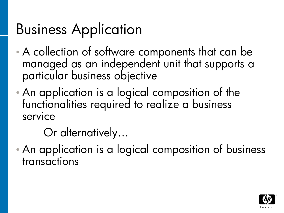# Business Application

- •A collection of software components that can be managed as an independent unit that supports a particular business objective
- •An application is a logical composition of the functionalities required to realize a business service

Or alternatively...

•An application is a logical composition of business transactions

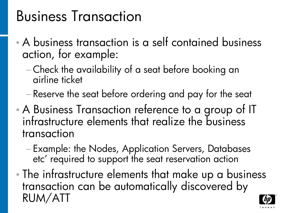### Business Transaction

- •A business transaction is a self contained business action, for example:
	- −Check the availability of a seat before booking an airline ticket
	- −Reserve the seat before ordering and pay for the seat
- •A Business Transaction reference to a group of IT infrastructure elements that realize the business transaction
	- −Example: the Nodes, Application Servers, Databases etc' required to support the seat reservation action
- The infrastructure elements that make up a business transaction can be automatically discovered by RUM/ATT

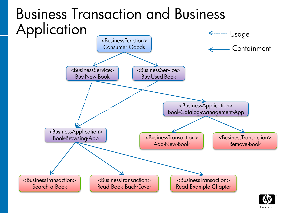### Business Transaction and Business **Application**

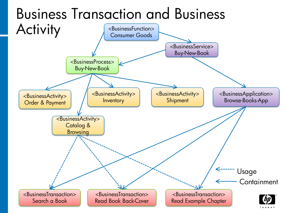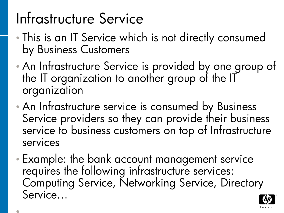# Infrastructure Service

- This is an IT Service which is not directly consumed by Business Customers
- •An Infrastructure Service is provided by one group of the IT organization to another group of the IT organization
- •An Infrastructure service is consumed by Business Service providers so they can provide their business service to business customers on top of Infrastructure services
- Example: the bank account management service requires the following infrastructure services: Computing Service, Networking Service, Directory Service…

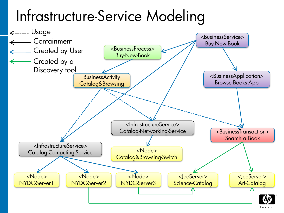# Infrastructure-Service Modeling



inven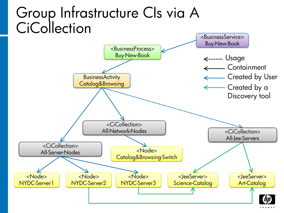#### Group Infrastructure CIs via A **CiCollection**



inven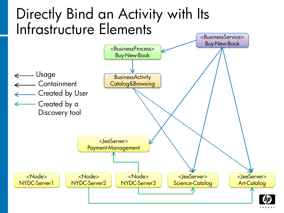

inven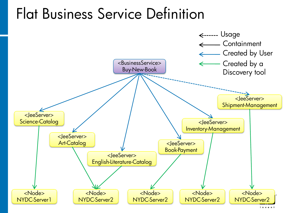### Flat Business Service Definition

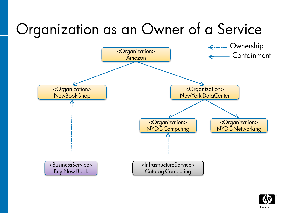# Organization as an Owner of a Service



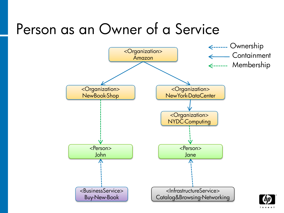### Person as an Owner of a Service